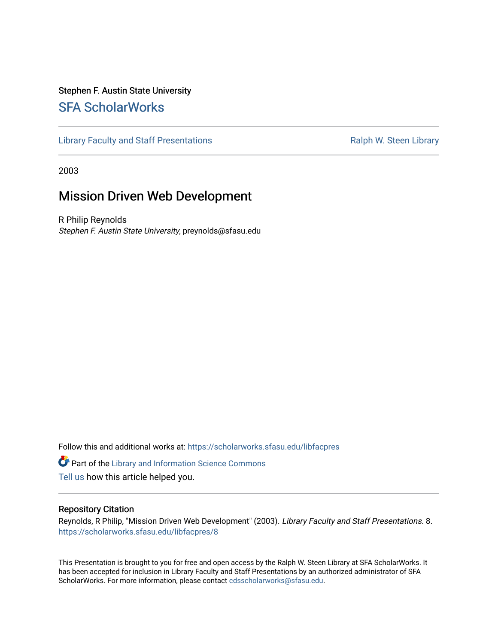#### Stephen F. Austin State University [SFA ScholarWorks](https://scholarworks.sfasu.edu/)

[Library Faculty and Staff Presentations](https://scholarworks.sfasu.edu/libfacpres) **Ralph W. Steen Library** Ralph W. Steen Library

2003

#### Mission Driven Web Development

R Philip Reynolds Stephen F. Austin State University, preynolds@sfasu.edu

Follow this and additional works at: [https://scholarworks.sfasu.edu/libfacpres](https://scholarworks.sfasu.edu/libfacpres?utm_source=scholarworks.sfasu.edu%2Flibfacpres%2F8&utm_medium=PDF&utm_campaign=PDFCoverPages) 

**Part of the Library and Information Science Commons** [Tell us](http://sfasu.qualtrics.com/SE/?SID=SV_0qS6tdXftDLradv) how this article helped you.

#### Repository Citation

Reynolds, R Philip, "Mission Driven Web Development" (2003). Library Faculty and Staff Presentations. 8. [https://scholarworks.sfasu.edu/libfacpres/8](https://scholarworks.sfasu.edu/libfacpres/8?utm_source=scholarworks.sfasu.edu%2Flibfacpres%2F8&utm_medium=PDF&utm_campaign=PDFCoverPages)

This Presentation is brought to you for free and open access by the Ralph W. Steen Library at SFA ScholarWorks. It has been accepted for inclusion in Library Faculty and Staff Presentations by an authorized administrator of SFA ScholarWorks. For more information, please contact [cdsscholarworks@sfasu.edu.](mailto:cdsscholarworks@sfasu.edu)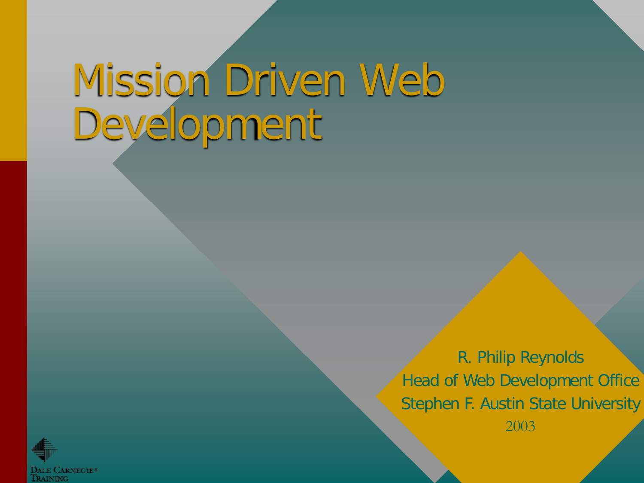# Mission Driven Web Development

R. Philip Reynolds Head of Web Development Office Stephen F. Austin State University



2003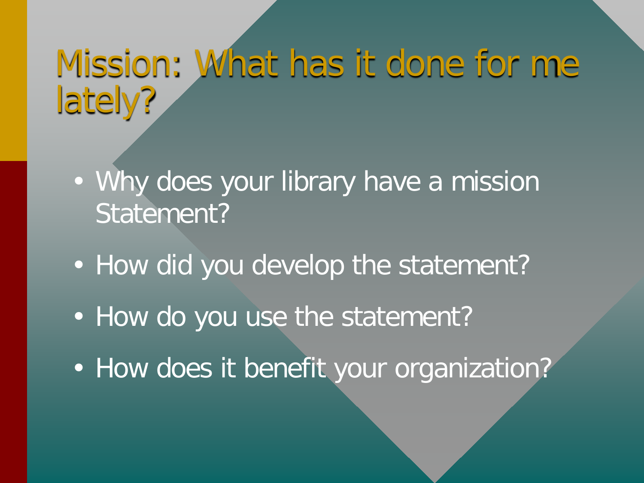#### Mission: What has it done for me lately?

- Why does your library have a mission Statement?
- How did you develop the statement?
- How do you use the statement?
- How does it benefit your organization?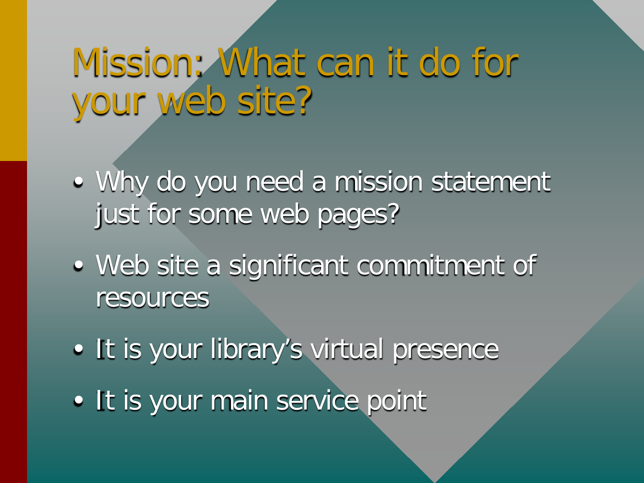### Mission: What can it do for your web site?

- Why do you need a mission statement just for some web pages?
- Web site a significant commitment of resources
- It is your library's virtual presence
- It is your main service point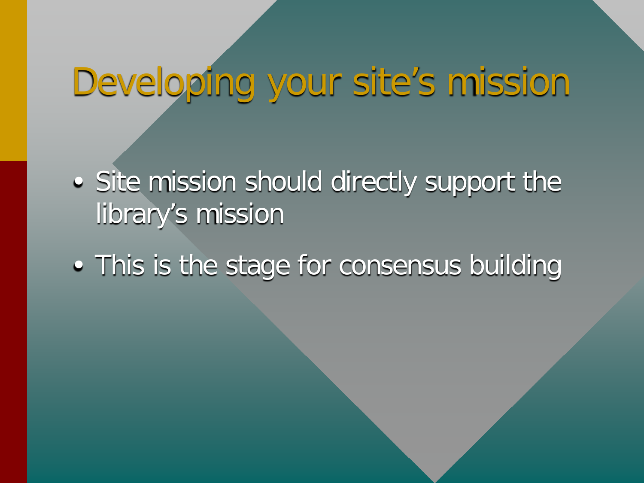#### Developing your site's mission

- Site mission should directly support the library's mission
- This is the stage for consensus building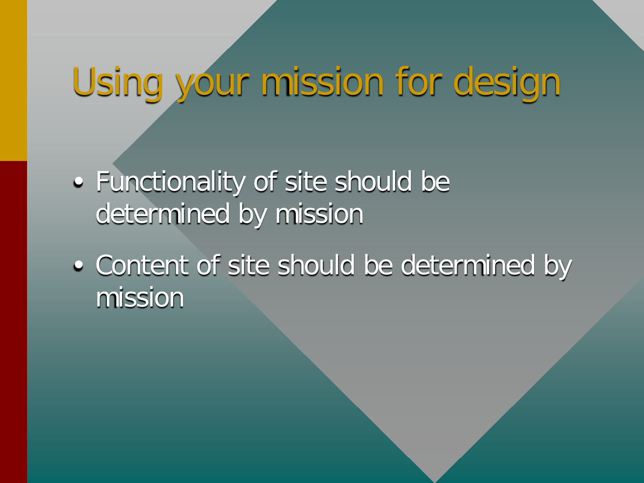## Using your mission for design

- Functionality of site should be determined by mission
- Content of site should be determined by mission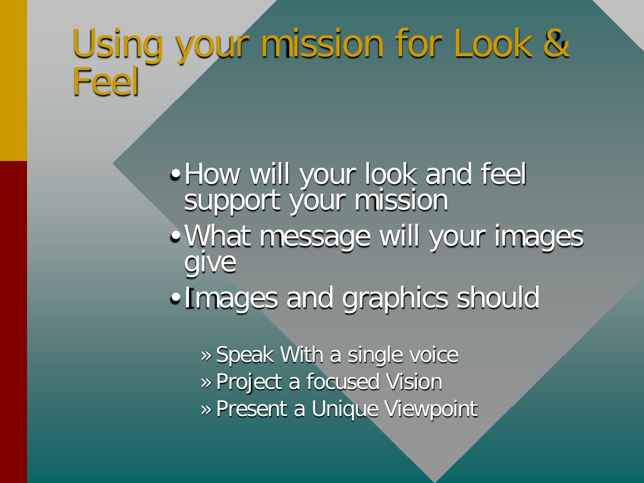### Using your mission for Look & Feel

• How will your look and feel support your mission •What message will your images give

•Images and graphics should

» Speak With a single voice » Project a focused Vision » Present a Unique Viewpoint